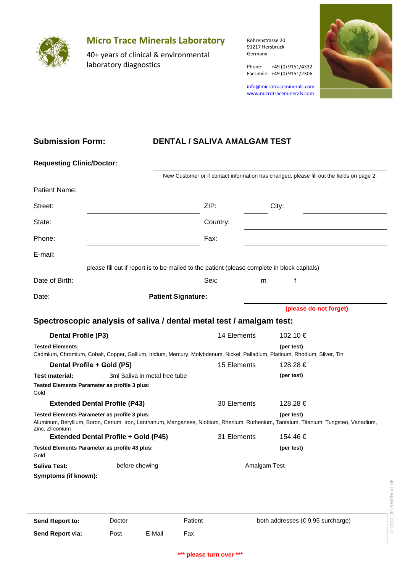

# **Micro Trace Minerals Laboratory**

40+ years of clinical & environmental laboratory diagnostics

Röhrenstrasse 20 91217 Hersbruck Germany

Phone: +49 (0) 9151/4332

info@microtraceminerals.com www.microtraceminerals.com

Facsimile: +49 (0) 9151/2306



### **Submission Form:**

# **DENTAL / SALIVA AMALGAM TEST**

| <b>Requesting Clinic/Doctor:</b>                                                                                                                       |        |                               |                           |                                                                                              |              |                                                                                                                                                    |                       |
|--------------------------------------------------------------------------------------------------------------------------------------------------------|--------|-------------------------------|---------------------------|----------------------------------------------------------------------------------------------|--------------|----------------------------------------------------------------------------------------------------------------------------------------------------|-----------------------|
|                                                                                                                                                        |        |                               |                           |                                                                                              |              | New Customer or if contact information has changed, please fill out the fields on page 2.                                                          |                       |
| Patient Name:                                                                                                                                          |        |                               |                           |                                                                                              |              |                                                                                                                                                    |                       |
| Street:                                                                                                                                                |        |                               |                           | ZIP:<br>City:                                                                                |              |                                                                                                                                                    |                       |
| State:                                                                                                                                                 |        | Country:                      |                           |                                                                                              |              |                                                                                                                                                    |                       |
| Phone:                                                                                                                                                 |        |                               | Fax:                      |                                                                                              |              |                                                                                                                                                    |                       |
| E-mail:                                                                                                                                                |        |                               |                           |                                                                                              |              |                                                                                                                                                    |                       |
|                                                                                                                                                        |        |                               |                           | please fill out if report is to be mailed to the patient (please complete in block capitals) |              |                                                                                                                                                    |                       |
| Date of Birth:                                                                                                                                         |        |                               | Sex:                      |                                                                                              | m            | f                                                                                                                                                  |                       |
| Date:                                                                                                                                                  |        |                               | <b>Patient Signature:</b> |                                                                                              |              |                                                                                                                                                    |                       |
|                                                                                                                                                        |        |                               |                           |                                                                                              |              | (please do not forget)                                                                                                                             |                       |
| Spectroscopic analysis of saliva / dental metal test / amalgam test:                                                                                   |        |                               |                           |                                                                                              |              |                                                                                                                                                    |                       |
| <b>Dental Profile (P3)</b>                                                                                                                             |        |                               |                           | 14 Elements                                                                                  |              | 102.10 €                                                                                                                                           |                       |
| <b>Tested Elements:</b><br>Cadmium, Chromium, Cobalt, Copper, Gallium, Iridium, Mercury, Molybdenum, Nickel, Palladium, Platinum, Rhodium, Silver, Tin |        |                               |                           |                                                                                              |              | (per test)                                                                                                                                         |                       |
| Dental Profile + Gold (P5)                                                                                                                             |        |                               |                           | 15 Elements                                                                                  |              | 128.28 €                                                                                                                                           |                       |
| <b>Test material:</b>                                                                                                                                  |        | 3ml Saliva in metal free tube |                           |                                                                                              |              | (per test)                                                                                                                                         |                       |
| Tested Elements Parameter as profile 3 plus:<br>Gold                                                                                                   |        |                               |                           |                                                                                              |              |                                                                                                                                                    |                       |
| <b>Extended Dental Profile (P43)</b>                                                                                                                   |        |                               |                           | 30 Elements                                                                                  |              | 128.28 €                                                                                                                                           |                       |
| Tested Elements Parameter as profile 3 plus:<br>Zinc, Zirconium                                                                                        |        |                               |                           |                                                                                              |              | (per test)<br>Aluminum, Beryllium, Boron, Cerium, Iron, Lanthanum, Manganese, Niobium, Rhenium, Ruthenium, Tantalum, Titanium, Tungsten, Vanadium, |                       |
| <b>Extended Dental Profile + Gold (P45)</b>                                                                                                            |        |                               |                           | 31 Elements                                                                                  |              | 154.46 €                                                                                                                                           |                       |
| Tested Elements Parameter as profile 43 plus:<br>Gold                                                                                                  |        |                               |                           |                                                                                              |              | (per test)                                                                                                                                         |                       |
| <b>Saliva Test:</b>                                                                                                                                    |        | before chewing                |                           |                                                                                              | Amalgam Test |                                                                                                                                                    |                       |
| Symptoms (if known):                                                                                                                                   |        |                               |                           |                                                                                              |              |                                                                                                                                                    | © 2012-2016 MTM V1.06 |
| Send Report to:                                                                                                                                        | Doctor |                               | Patient                   |                                                                                              |              | both addresses (€9,95 surcharge)                                                                                                                   |                       |
| Send Report via:                                                                                                                                       | Post   | E-Mail                        | Fax                       |                                                                                              |              |                                                                                                                                                    |                       |